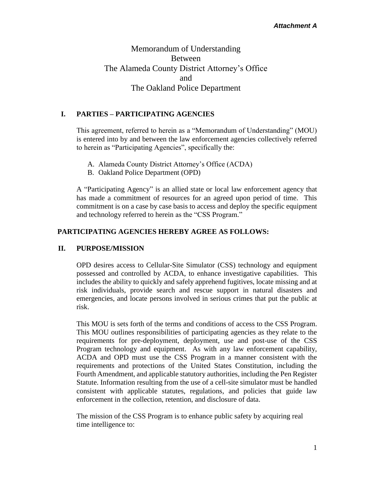# Memorandum of Understanding Between The Alameda County District Attorney's Office and The Oakland Police Department

## **I. PARTIES – PARTICIPATING AGENCIES**

This agreement, referred to herein as a "Memorandum of Understanding" (MOU) is entered into by and between the law enforcement agencies collectively referred to herein as "Participating Agencies", specifically the:

- A. Alameda County District Attorney's Office (ACDA)
- B. Oakland Police Department (OPD)

A "Participating Agency" is an allied state or local law enforcement agency that has made a commitment of resources for an agreed upon period of time. This commitment is on a case by case basis to access and deploy the specific equipment and technology referred to herein as the "CSS Program."

### **PARTICIPATING AGENCIES HEREBY AGREE AS FOLLOWS:**

### **II. PURPOSE/MISSION**

OPD desires access to Cellular-Site Simulator (CSS) technology and equipment possessed and controlled by ACDA, to enhance investigative capabilities. This includes the ability to quickly and safely apprehend fugitives, locate missing and at risk individuals, provide search and rescue support in natural disasters and emergencies, and locate persons involved in serious crimes that put the public at risk.

This MOU is sets forth of the terms and conditions of access to the CSS Program. This MOU outlines responsibilities of participating agencies as they relate to the requirements for pre-deployment, deployment, use and post-use of the CSS Program technology and equipment. As with any law enforcement capability, ACDA and OPD must use the CSS Program in a manner consistent with the requirements and protections of the United States Constitution, including the Fourth Amendment, and applicable statutory authorities, including the Pen Register Statute. Information resulting from the use of a cell-site simulator must be handled consistent with applicable statutes, regulations, and policies that guide law enforcement in the collection, retention, and disclosure of data.

The mission of the CSS Program is to enhance public safety by acquiring real time intelligence to: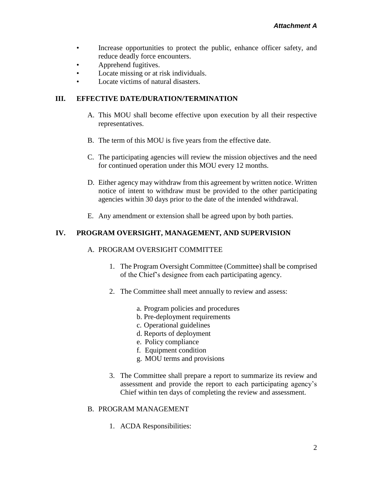- Increase opportunities to protect the public, enhance officer safety, and reduce deadly force encounters.
- **Apprehend fugitives.**
- Locate missing or at risk individuals.
- Locate victims of natural disasters.

## **III. EFFECTIVE DATE/DURATION/TERMINATION**

- A. This MOU shall become effective upon execution by all their respective representatives.
- B. The term of this MOU is five years from the effective date.
- C. The participating agencies will review the mission objectives and the need for continued operation under this MOU every 12 months.
- D. Either agency may withdraw from this agreement by written notice. Written notice of intent to withdraw must be provided to the other participating agencies within 30 days prior to the date of the intended withdrawal.
- E. Any amendment or extension shall be agreed upon by both parties.

## **IV. PROGRAM OVERSIGHT, MANAGEMENT, AND SUPERVISION**

### A. PROGRAM OVERSIGHT COMMITTEE

- 1. The Program Oversight Committee (Committee) shall be comprised of the Chief's designee from each participating agency.
- 2. The Committee shall meet annually to review and assess:
	- a. Program policies and procedures
	- b. Pre-deployment requirements
	- c. Operational guidelines
	- d. Reports of deployment
	- e. Policy compliance
	- f. Equipment condition
	- g. MOU terms and provisions
- 3. The Committee shall prepare a report to summarize its review and assessment and provide the report to each participating agency's Chief within ten days of completing the review and assessment.

### B. PROGRAM MANAGEMENT

1. ACDA Responsibilities: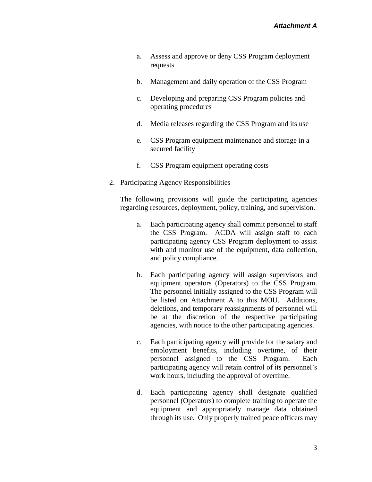- a. Assess and approve or deny CSS Program deployment requests
- b. Management and daily operation of the CSS Program
- c. Developing and preparing CSS Program policies and operating procedures
- d. Media releases regarding the CSS Program and its use
- e. CSS Program equipment maintenance and storage in a secured facility
- f. CSS Program equipment operating costs
- 2. Participating Agency Responsibilities

The following provisions will guide the participating agencies regarding resources, deployment, policy, training, and supervision.

- a. Each participating agency shall commit personnel to staff the CSS Program. ACDA will assign staff to each participating agency CSS Program deployment to assist with and monitor use of the equipment, data collection, and policy compliance.
- b. Each participating agency will assign supervisors and equipment operators (Operators) to the CSS Program. The personnel initially assigned to the CSS Program will be listed on Attachment A to this MOU. Additions, deletions, and temporary reassignments of personnel will be at the discretion of the respective participating agencies, with notice to the other participating agencies.
- c. Each participating agency will provide for the salary and employment benefits, including overtime, of their personnel assigned to the CSS Program. Each participating agency will retain control of its personnel's work hours, including the approval of overtime.
- d. Each participating agency shall designate qualified personnel (Operators) to complete training to operate the equipment and appropriately manage data obtained through its use. Only properly trained peace officers may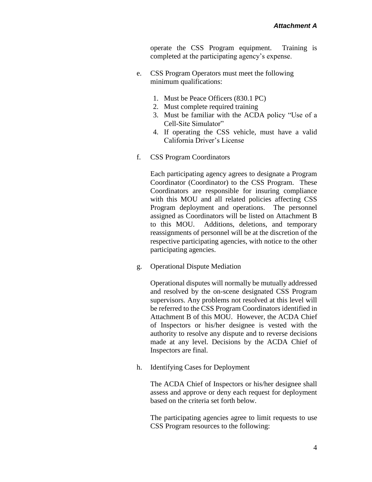operate the CSS Program equipment. Training is completed at the participating agency's expense.

- e. CSS Program Operators must meet the following minimum qualifications:
	- 1. Must be Peace Officers (830.1 PC)
	- 2. Must complete required training
	- 3. Must be familiar with the ACDA policy "Use of a Cell-Site Simulator"
	- 4. If operating the CSS vehicle, must have a valid California Driver's License
- f. CSS Program Coordinators

Each participating agency agrees to designate a Program Coordinator (Coordinator) to the CSS Program. These Coordinators are responsible for insuring compliance with this MOU and all related policies affecting CSS Program deployment and operations. The personnel assigned as Coordinators will be listed on Attachment B to this MOU. Additions, deletions, and temporary reassignments of personnel will be at the discretion of the respective participating agencies, with notice to the other participating agencies.

g. Operational Dispute Mediation

Operational disputes will normally be mutually addressed and resolved by the on-scene designated CSS Program supervisors. Any problems not resolved at this level will be referred to the CSS Program Coordinators identified in Attachment B of this MOU. However, the ACDA Chief of Inspectors or his/her designee is vested with the authority to resolve any dispute and to reverse decisions made at any level. Decisions by the ACDA Chief of Inspectors are final.

h. Identifying Cases for Deployment

The ACDA Chief of Inspectors or his/her designee shall assess and approve or deny each request for deployment based on the criteria set forth below.

The participating agencies agree to limit requests to use CSS Program resources to the following: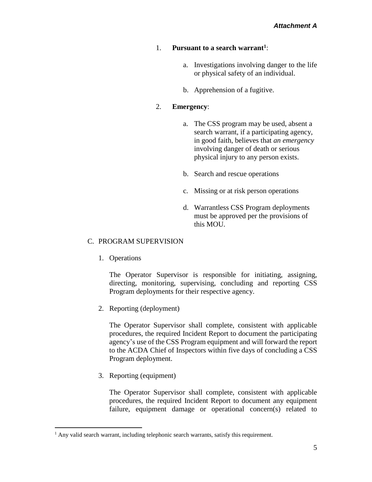### 1. **Pursuant to a search warrant<sup>1</sup>** :

- a. Investigations involving danger to the life or physical safety of an individual.
- b. Apprehension of a fugitive.

### 2. **Emergency**:

- a. The CSS program may be used, absent a search warrant, if a participating agency, in good faith, believes that *an emergency* involving danger of death or serious physical injury to any person exists.
- b. Search and rescue operations
- c. Missing or at risk person operations
- d. Warrantless CSS Program deployments must be approved per the provisions of this MOU.

### C. PROGRAM SUPERVISION

1. Operations

The Operator Supervisor is responsible for initiating, assigning, directing, monitoring, supervising, concluding and reporting CSS Program deployments for their respective agency.

2. Reporting (deployment)

The Operator Supervisor shall complete, consistent with applicable procedures, the required Incident Report to document the participating agency's use of the CSS Program equipment and will forward the report to the ACDA Chief of Inspectors within five days of concluding a CSS Program deployment.

3. Reporting (equipment)

 $\overline{a}$ 

The Operator Supervisor shall complete, consistent with applicable procedures, the required Incident Report to document any equipment failure, equipment damage or operational concern(s) related to

<sup>&</sup>lt;sup>1</sup> Any valid search warrant, including telephonic search warrants, satisfy this requirement.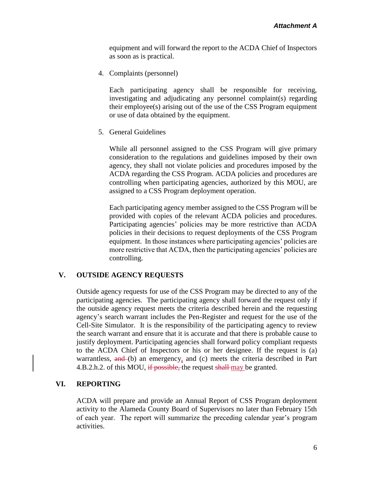equipment and will forward the report to the ACDA Chief of Inspectors as soon as is practical.

4. Complaints (personnel)

Each participating agency shall be responsible for receiving, investigating and adjudicating any personnel complaint(s) regarding their employee(s) arising out of the use of the CSS Program equipment or use of data obtained by the equipment.

5. General Guidelines

While all personnel assigned to the CSS Program will give primary consideration to the regulations and guidelines imposed by their own agency, they shall not violate policies and procedures imposed by the ACDA regarding the CSS Program. ACDA policies and procedures are controlling when participating agencies, authorized by this MOU, are assigned to a CSS Program deployment operation.

Each participating agency member assigned to the CSS Program will be provided with copies of the relevant ACDA policies and procedures. Participating agencies' policies may be more restrictive than ACDA policies in their decisions to request deployments of the CSS Program equipment. In those instances where participating agencies' policies are more restrictive that ACDA, then the participating agencies' policies are controlling.

#### **V. OUTSIDE AGENCY REQUESTS**

Outside agency requests for use of the CSS Program may be directed to any of the participating agencies. The participating agency shall forward the request only if the outside agency request meets the criteria described herein and the requesting agency's search warrant includes the Pen-Register and request for the use of the Cell-Site Simulator. It is the responsibility of the participating agency to review the search warrant and ensure that it is accurate and that there is probable cause to justify deployment. Participating agencies shall forward policy compliant requests to the ACDA Chief of Inspectors or his or her designee. If the request is (a) warrantless, and (b) an emergency, and (c) meets the criteria described in Part 4.B.2.h.2. of this MOU, if possible, the request shall-may be granted.

#### **VI. REPORTING**

ACDA will prepare and provide an Annual Report of CSS Program deployment activity to the Alameda County Board of Supervisors no later than February 15th of each year. The report will summarize the preceding calendar year's program activities.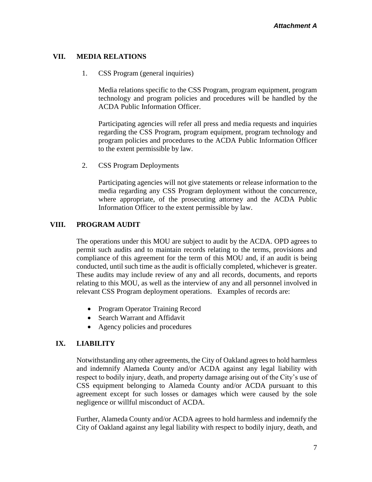### **VII. MEDIA RELATIONS**

1. CSS Program (general inquiries)

Media relations specific to the CSS Program, program equipment, program technology and program policies and procedures will be handled by the ACDA Public Information Officer.

Participating agencies will refer all press and media requests and inquiries regarding the CSS Program, program equipment, program technology and program policies and procedures to the ACDA Public Information Officer to the extent permissible by law.

2. CSS Program Deployments

Participating agencies will not give statements or release information to the media regarding any CSS Program deployment without the concurrence, where appropriate, of the prosecuting attorney and the ACDA Public Information Officer to the extent permissible by law.

### **VIII. PROGRAM AUDIT**

The operations under this MOU are subject to audit by the ACDA. OPD agrees to permit such audits and to maintain records relating to the terms, provisions and compliance of this agreement for the term of this MOU and, if an audit is being conducted, until such time as the audit is officially completed, whichever is greater. These audits may include review of any and all records, documents, and reports relating to this MOU, as well as the interview of any and all personnel involved in relevant CSS Program deployment operations. Examples of records are:

- Program Operator Training Record
- Search Warrant and Affidavit
- Agency policies and procedures

## **IX. LIABILITY**

Notwithstanding any other agreements, the City of Oakland agrees to hold harmless and indemnify Alameda County and/or ACDA against any legal liability with respect to bodily injury, death, and property damage arising out of the City's use of CSS equipment belonging to Alameda County and/or ACDA pursuant to this agreement except for such losses or damages which were caused by the sole negligence or willful misconduct of ACDA.

Further, Alameda County and/or ACDA agrees to hold harmless and indemnify the City of Oakland against any legal liability with respect to bodily injury, death, and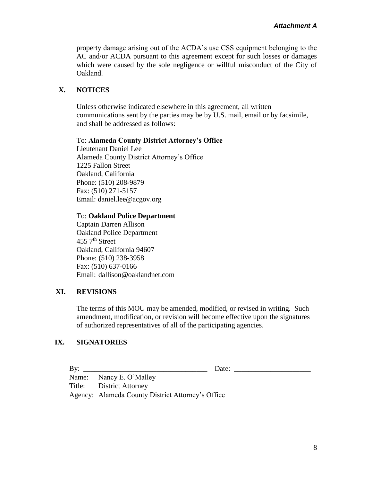property damage arising out of the ACDA's use CSS equipment belonging to the AC and/or ACDA pursuant to this agreement except for such losses or damages which were caused by the sole negligence or willful misconduct of the City of Oakland.

## **X. NOTICES**

Unless otherwise indicated elsewhere in this agreement, all written communications sent by the parties may be by U.S. mail, email or by facsimile, and shall be addressed as follows:

#### To: **Alameda County District Attorney's Office**

Lieutenant Daniel Lee Alameda County District Attorney's Office 1225 Fallon Street Oakland, California Phone: (510) 208-9879 Fax: (510) 271-5157 Email: daniel.lee@acgov.org

#### To: **Oakland Police Department**

Captain Darren Allison Oakland Police Department  $455$  7<sup>th</sup> Street Oakland, California 94607 Phone: (510) 238-3958 Fax: (510) 637-0166 Email: dallison@oaklandnet.com

### **XI. REVISIONS**

The terms of this MOU may be amended, modified, or revised in writing. Such amendment, modification, or revision will become effective upon the signatures of authorized representatives of all of the participating agencies.

## **IX. SIGNATORIES**

By: \_\_\_\_\_\_\_\_\_\_\_\_\_\_\_\_\_\_\_\_\_\_\_\_\_\_\_\_\_\_\_\_\_\_ Date: \_\_\_\_\_\_\_\_\_\_\_\_\_\_\_\_\_\_\_\_\_

 Name: Nancy E. O'Malley Title: District Attorney Agency: Alameda County District Attorney's Office